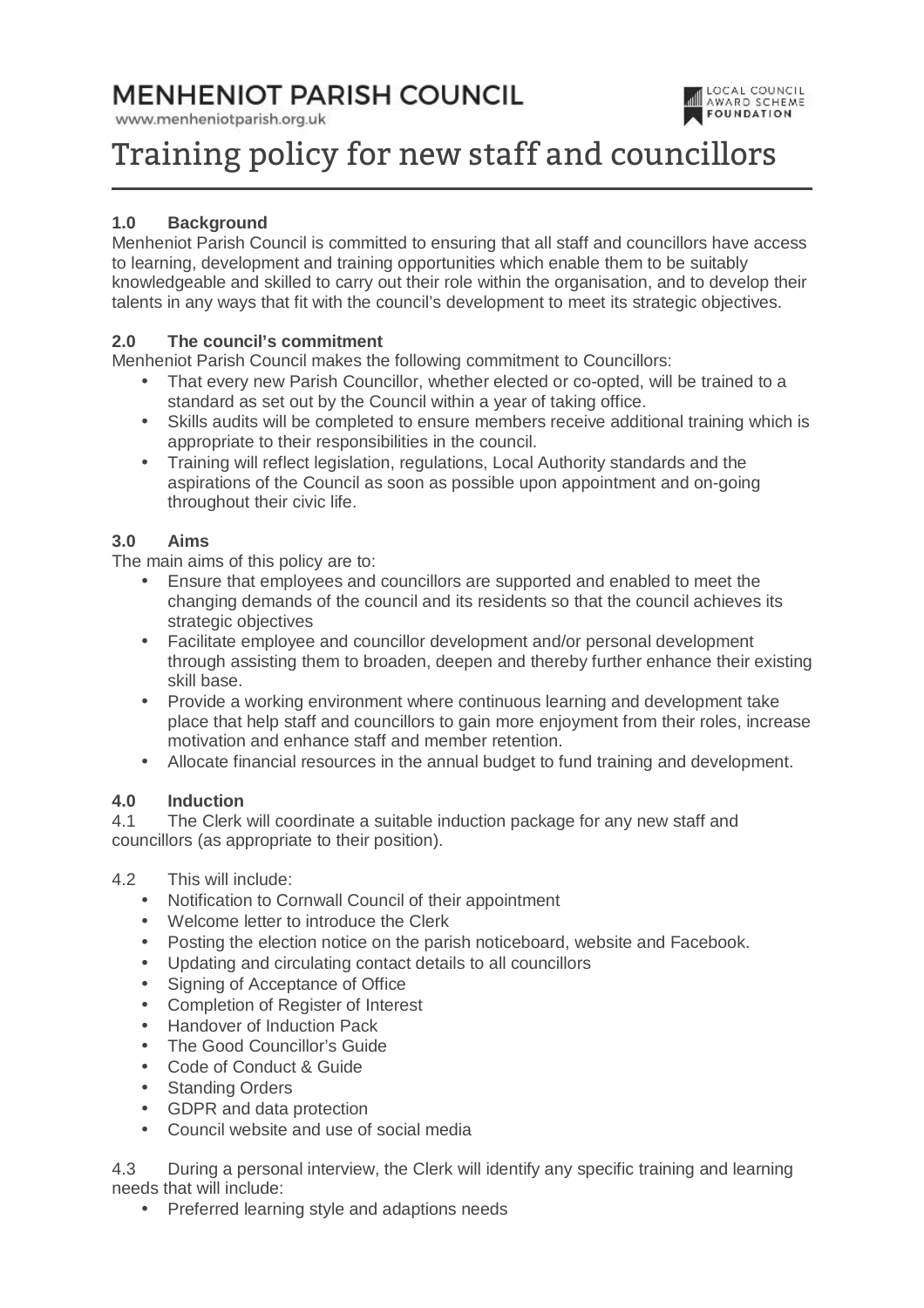# **MENHENIOT PARISH COUNCIL**

www.menheniotparish.org.uk



# Training policy for new staff and councillors

# **1.0 Background**

Menheniot Parish Council is committed to ensuring that all staff and councillors have access to learning, development and training opportunities which enable them to be suitably knowledgeable and skilled to carry out their role within the organisation, and to develop their talents in any ways that fit with the council's development to meet its strategic objectives.

# **2.0 The council's commitment**

Menheniot Parish Council makes the following commitment to Councillors:

- That every new Parish Councillor, whether elected or co-opted, will be trained to a standard as set out by the Council within a year of taking office.
- Skills audits will be completed to ensure members receive additional training which is appropriate to their responsibilities in the council.
- Training will reflect legislation, regulations, Local Authority standards and the aspirations of the Council as soon as possible upon appointment and on-going throughout their civic life.

#### **3.0 Aims**

The main aims of this policy are to:

- Ensure that employees and councillors are supported and enabled to meet the changing demands of the council and its residents so that the council achieves its strategic objectives
- Facilitate employee and councillor development and/or personal development through assisting them to broaden, deepen and thereby further enhance their existing skill base.
- Provide a working environment where continuous learning and development take place that help staff and councillors to gain more enjoyment from their roles, increase motivation and enhance staff and member retention.
- Allocate financial resources in the annual budget to fund training and development.

#### **4.0 Induction**

4.1 The Clerk will coordinate a suitable induction package for any new staff and councillors (as appropriate to their position).

- 4.2 This will include:
	- Notification to Cornwall Council of their appointment
	- Welcome letter to introduce the Clerk
	- Posting the election notice on the parish noticeboard, website and Facebook.
	- Updating and circulating contact details to all councillors
	- Signing of Acceptance of Office
	- Completion of Register of Interest
	- Handover of Induction Pack
	- The Good Councillor's Guide
	- Code of Conduct & Guide
	- Standing Orders
	- GDPR and data protection
	- Council website and use of social media

4.3 During a personal interview, the Clerk will identify any specific training and learning needs that will include:

• Preferred learning style and adaptions needs